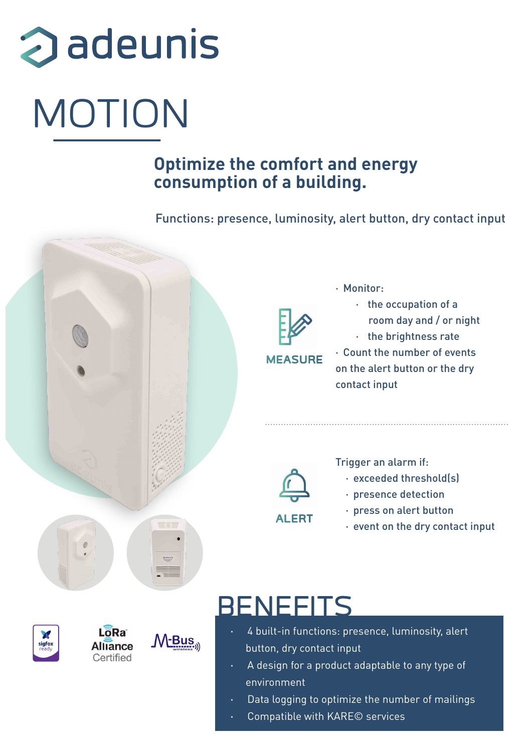# adeunis MOTION

### **Optimize the comfort and energy consumption of a building.**